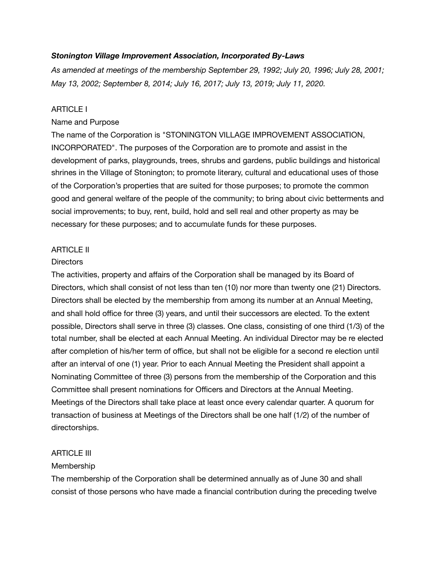### *Stonington Village Improvement Association, Incorporated By-Laws*

*As amended at meetings of the membership September 29, 1992; July 20, 1996; July 28, 2001; May 13, 2002; September 8, 2014; July 16, 2017; July 13, 2019; July 11, 2020.* 

#### ARTICLE I

#### Name and Purpose

The name of the Corporation is "STONINGTON VILLAGE IMPROVEMENT ASSOCIATION, INCORPORATED". The purposes of the Corporation are to promote and assist in the development of parks, playgrounds, trees, shrubs and gardens, public buildings and historical shrines in the Village of Stonington; to promote literary, cultural and educational uses of those of the Corporation's properties that are suited for those purposes; to promote the common good and general welfare of the people of the community; to bring about civic betterments and social improvements; to buy, rent, build, hold and sell real and other property as may be necessary for these purposes; and to accumulate funds for these purposes.

### ARTICLE II

#### **Directors**

The activities, property and affairs of the Corporation shall be managed by its Board of Directors, which shall consist of not less than ten (10) nor more than twenty one (21) Directors. Directors shall be elected by the membership from among its number at an Annual Meeting, and shall hold office for three (3) years, and until their successors are elected. To the extent possible, Directors shall serve in three (3) classes. One class, consisting of one third (1/3) of the total number, shall be elected at each Annual Meeting. An individual Director may be re elected after completion of his/her term of office, but shall not be eligible for a second re election until after an interval of one (1) year. Prior to each Annual Meeting the President shall appoint a Nominating Committee of three (3) persons from the membership of the Corporation and this Committee shall present nominations for Officers and Directors at the Annual Meeting. Meetings of the Directors shall take place at least once every calendar quarter. A quorum for transaction of business at Meetings of the Directors shall be one half (1/2) of the number of directorships.

### **ARTICLE III**

### Membership

The membership of the Corporation shall be determined annually as of June 30 and shall consist of those persons who have made a financial contribution during the preceding twelve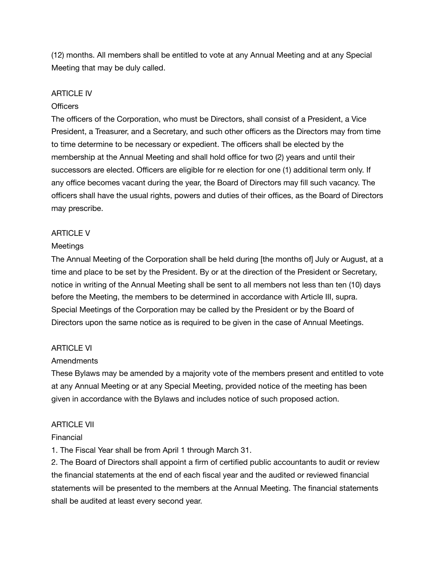(12) months. All members shall be entitled to vote at any Annual Meeting and at any Special Meeting that may be duly called.

### ARTICLE IV

### Officers

The officers of the Corporation, who must be Directors, shall consist of a President, a Vice President, a Treasurer, and a Secretary, and such other officers as the Directors may from time to time determine to be necessary or expedient. The officers shall be elected by the membership at the Annual Meeting and shall hold office for two (2) years and until their successors are elected. Officers are eligible for re election for one (1) additional term only. If any office becomes vacant during the year, the Board of Directors may fill such vacancy. The officers shall have the usual rights, powers and duties of their offices, as the Board of Directors may prescribe.

# ARTICLE V

### **Meetings**

The Annual Meeting of the Corporation shall be held during [the months of] July or August, at a time and place to be set by the President. By or at the direction of the President or Secretary, notice in writing of the Annual Meeting shall be sent to all members not less than ten (10) days before the Meeting, the members to be determined in accordance with Article III, supra. Special Meetings of the Corporation may be called by the President or by the Board of Directors upon the same notice as is required to be given in the case of Annual Meetings.

### ARTICLE VI

### **Amendments**

These Bylaws may be amended by a majority vote of the members present and entitled to vote at any Annual Meeting or at any Special Meeting, provided notice of the meeting has been given in accordance with the Bylaws and includes notice of such proposed action.

### ARTICLE VII

### Financial

1. The Fiscal Year shall be from April 1 through March 31.

2. The Board of Directors shall appoint a firm of certified public accountants to audit or review the financial statements at the end of each fiscal year and the audited or reviewed financial statements will be presented to the members at the Annual Meeting. The financial statements shall be audited at least every second year.